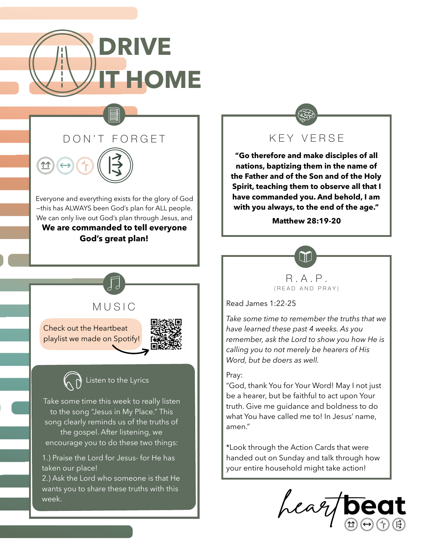



**11** 

Everyone and everything exists for the glory of God —this has ALWAYS been God's plan for ALL people. We can only live out God's plan through Jesus, and **We are commanded to tell everyone God's great plan!** 



**"Go therefore and make disciples of all nations, baptizing them in the name of the Father and of the Son and of the Holy Spirit, teaching them to observe all that I have commanded you. And behold, I am with you always, to the end of the age."** 

**Matthew 28:19-20**



Read James 1:22-25

*Take some time to remember the truths that we have learned these past 4 weeks. As you remember, ask the Lord to show you how He is calling you to not merely be hearers of His Word, but be doers as well.* 

## Pray:

"God, thank You for Your Word! May I not just be a hearer, but be faithful to act upon Your truth. Give me guidance and boldness to do what You have called me to! In Jesus' name, amen."

\*Look through the Action Cards that were handed out on Sunday and talk through how your entire household might take action!